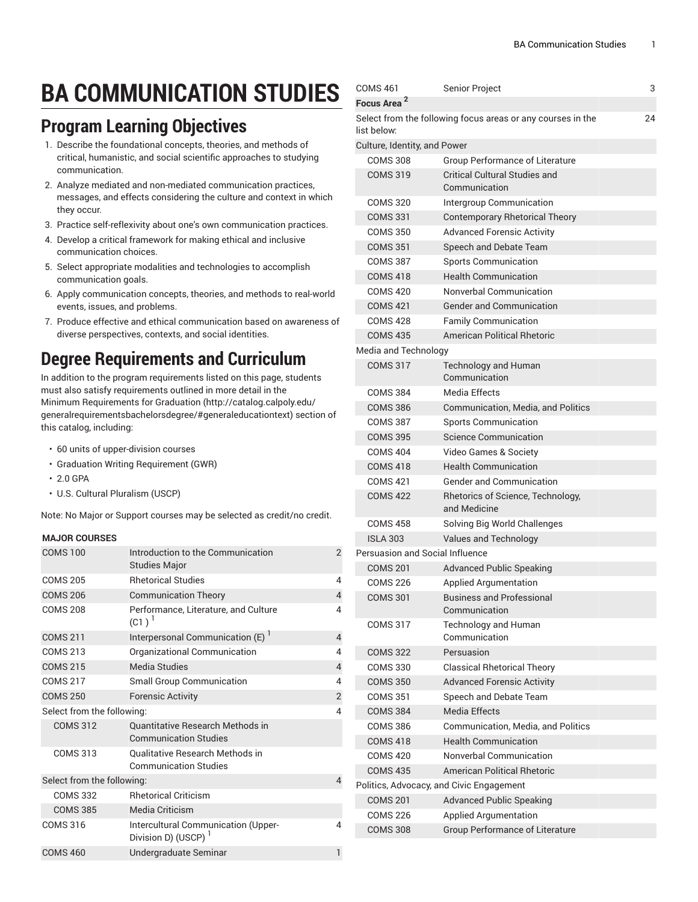# **BA COMMUNICATION STUDIES**

#### **Program Learning Objectives**

- 1. Describe the foundational concepts, theories, and methods of critical, humanistic, and social scientific approaches to studying communication.
- 2. Analyze mediated and non-mediated communication practices, messages, and effects considering the culture and context in which they occur.
- 3. Practice self-reflexivity about one's own communication practices.
- 4. Develop a critical framework for making ethical and inclusive communication choices.
- 5. Select appropriate modalities and technologies to accomplish communication goals.
- 6. Apply communication concepts, theories, and methods to real-world events, issues, and problems.
- 7. Produce effective and ethical communication based on awareness of diverse perspectives, contexts, and social identities.

### **Degree Requirements and Curriculum**

In addition to the program requirements listed on this page, students must also satisfy requirements outlined in more detail in the Minimum [Requirements](http://catalog.calpoly.edu/generalrequirementsbachelorsdegree/#generaleducationtext) for Graduation ([http://catalog.calpoly.edu/](http://catalog.calpoly.edu/generalrequirementsbachelorsdegree/#generaleducationtext) [generalrequirementsbachelorsdegree/#generaleducationtext\)](http://catalog.calpoly.edu/generalrequirementsbachelorsdegree/#generaleducationtext) section of this catalog, including:

- 60 units of upper-division courses
- Graduation Writing Requirement (GWR)
- 2.0 GPA
- U.S. Cultural Pluralism (USCP)

Note: No Major or Support courses may be selected as credit/no credit.

#### **MAJOR COURSES**

| <b>COMS 100</b>            | Introduction to the Communication<br><b>Studies Major</b>              | $\mathfrak{p}$ |
|----------------------------|------------------------------------------------------------------------|----------------|
| <b>COMS 205</b>            | <b>Rhetorical Studies</b>                                              | 4              |
| <b>COMS 206</b>            | <b>Communication Theory</b>                                            | 4              |
| <b>COMS 208</b>            | Performance, Literature, and Culture<br>$(C1)^{1}$                     | 4              |
| <b>COMS 211</b>            | Interpersonal Communication (E)                                        | 4              |
| <b>COMS 213</b>            | Organizational Communication                                           | 4              |
| <b>COMS 215</b>            | <b>Media Studies</b>                                                   | $\overline{4}$ |
| <b>COMS 217</b>            | <b>Small Group Communication</b>                                       | 4              |
| <b>COMS 250</b>            | <b>Forensic Activity</b>                                               | $\overline{2}$ |
| Select from the following: |                                                                        |                |
| <b>COMS 312</b>            | Quantitative Research Methods in<br><b>Communication Studies</b>       |                |
| <b>COMS 313</b>            | <b>Oualitative Research Methods in</b><br><b>Communication Studies</b> |                |
| Select from the following: |                                                                        |                |
| <b>COMS 332</b>            | <b>Rhetorical Criticism</b>                                            |                |
| <b>COMS 385</b>            | Media Criticism                                                        |                |
| <b>COMS 316</b>            | Intercultural Communication (Upper-<br>Division D) (USCP)              | 4              |
| <b>COMS 460</b>            | Undergraduate Seminar                                                  | 1              |

| <b>COMS 461</b>                        | Senior Project                                              | 3  |
|----------------------------------------|-------------------------------------------------------------|----|
| Focus Area <sup>2</sup>                |                                                             |    |
| list below:                            | Select from the following focus areas or any courses in the | 24 |
| Culture, Identity, and Power           |                                                             |    |
| <b>COMS 308</b>                        | <b>Group Performance of Literature</b>                      |    |
| <b>COMS 319</b>                        | <b>Critical Cultural Studies and</b><br>Communication       |    |
| <b>COMS 320</b>                        | Intergroup Communication                                    |    |
| <b>COMS 331</b>                        | <b>Contemporary Rhetorical Theory</b>                       |    |
| <b>COMS 350</b>                        | <b>Advanced Forensic Activity</b>                           |    |
| <b>COMS 351</b>                        | Speech and Debate Team                                      |    |
| <b>COMS 387</b>                        | <b>Sports Communication</b>                                 |    |
| <b>COMS 418</b>                        | <b>Health Communication</b>                                 |    |
| <b>COMS 420</b>                        | Nonverbal Communication                                     |    |
| <b>COMS 421</b>                        | <b>Gender and Communication</b>                             |    |
| <b>COMS 428</b>                        | <b>Family Communication</b>                                 |    |
| <b>COMS 435</b>                        | <b>American Political Rhetoric</b>                          |    |
| Media and Technology                   |                                                             |    |
| <b>COMS 317</b>                        | <b>Technology and Human</b><br>Communication                |    |
| <b>COMS 384</b>                        | <b>Media Effects</b>                                        |    |
| <b>COMS 386</b>                        | Communication, Media, and Politics                          |    |
| <b>COMS 387</b>                        | <b>Sports Communication</b>                                 |    |
| <b>COMS 395</b>                        | Science Communication                                       |    |
| <b>COMS 404</b>                        | Video Games & Society                                       |    |
| <b>COMS 418</b>                        | <b>Health Communication</b>                                 |    |
| <b>COMS 421</b>                        | <b>Gender and Communication</b>                             |    |
| <b>COMS 422</b>                        | Rhetorics of Science, Technology,<br>and Medicine           |    |
| COMS 458                               | Solving Big World Challenges                                |    |
| <b>ISLA 303</b>                        | Values and Technology                                       |    |
| <b>Persuasion and Social Influence</b> |                                                             |    |
| <b>COMS 201</b>                        | <b>Advanced Public Speaking</b>                             |    |
| <b>COMS 226</b>                        | Applied Argumentation                                       |    |
| <b>COMS 301</b>                        | <b>Business and Professional</b><br>Communication           |    |
| <b>COMS 317</b>                        | Technology and Human<br>Communication                       |    |
| <b>COMS 322</b>                        | Persuasion                                                  |    |
| <b>COMS 330</b>                        | <b>Classical Rhetorical Theory</b>                          |    |
| <b>COMS 350</b>                        | <b>Advanced Forensic Activity</b>                           |    |
| <b>COMS 351</b>                        | Speech and Debate Team                                      |    |
| <b>COMS 384</b>                        | <b>Media Effects</b>                                        |    |
| <b>COMS 386</b>                        | Communication, Media, and Politics                          |    |
| <b>COMS 418</b>                        | <b>Health Communication</b>                                 |    |
| <b>COMS 420</b>                        | Nonverbal Communication                                     |    |
| <b>COMS 435</b>                        | American Political Rhetoric                                 |    |
|                                        | Politics, Advocacy, and Civic Engagement                    |    |
| <b>COMS 201</b>                        | <b>Advanced Public Speaking</b>                             |    |
| <b>COMS 226</b>                        | <b>Applied Argumentation</b>                                |    |
| <b>COMS 308</b>                        | Group Performance of Literature                             |    |
|                                        |                                                             |    |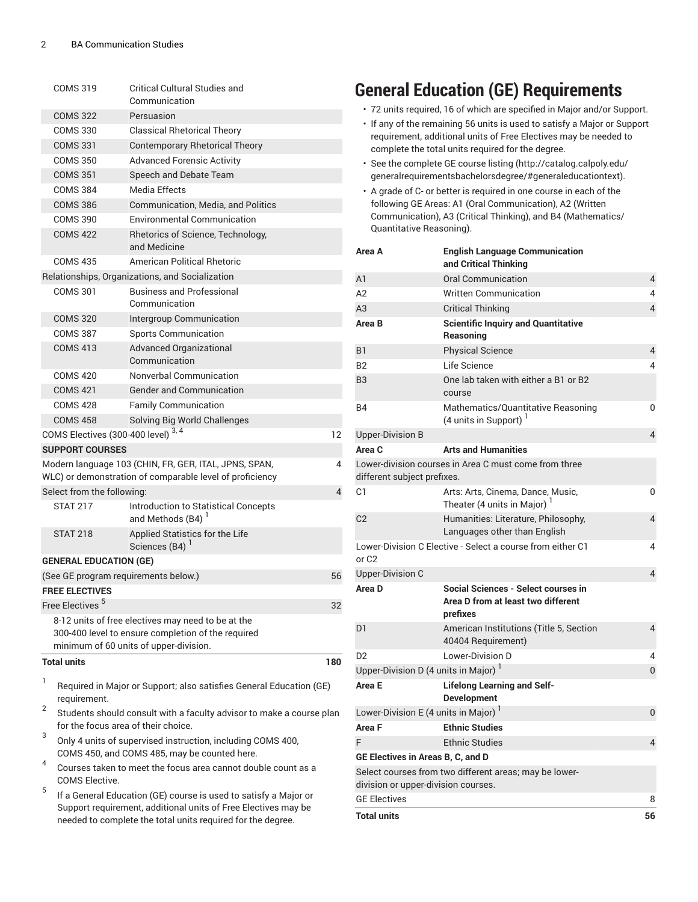| <b>COMS 319</b>                     | Critical Cultural Studies and<br>Communication                                                                                                     |     |
|-------------------------------------|----------------------------------------------------------------------------------------------------------------------------------------------------|-----|
| <b>COMS 322</b>                     | Persuasion                                                                                                                                         |     |
| <b>COMS 330</b>                     | <b>Classical Rhetorical Theory</b>                                                                                                                 |     |
| <b>COMS 331</b>                     | <b>Contemporary Rhetorical Theory</b>                                                                                                              |     |
| <b>COMS 350</b>                     | <b>Advanced Forensic Activity</b>                                                                                                                  |     |
| <b>COMS 351</b>                     | Speech and Debate Team                                                                                                                             |     |
| <b>COMS 384</b>                     | Media Effects                                                                                                                                      |     |
| <b>COMS 386</b>                     | <b>Communication, Media, and Politics</b>                                                                                                          |     |
| <b>COMS 390</b>                     | <b>Environmental Communication</b>                                                                                                                 |     |
| <b>COMS 422</b>                     | Rhetorics of Science, Technology,<br>and Medicine                                                                                                  |     |
| <b>COMS 435</b>                     | American Political Rhetoric                                                                                                                        |     |
|                                     | Relationships, Organizations, and Socialization                                                                                                    |     |
| <b>COMS 301</b>                     | <b>Business and Professional</b><br>Communication                                                                                                  |     |
| <b>COMS 320</b>                     | Intergroup Communication                                                                                                                           |     |
| <b>COMS 387</b>                     | <b>Sports Communication</b>                                                                                                                        |     |
| <b>COMS 413</b>                     | <b>Advanced Organizational</b><br>Communication                                                                                                    |     |
| <b>COMS 420</b>                     | Nonverbal Communication                                                                                                                            |     |
| <b>COMS 421</b>                     | <b>Gender and Communication</b>                                                                                                                    |     |
| <b>COMS 428</b>                     | <b>Family Communication</b>                                                                                                                        |     |
| <b>COMS 458</b>                     | Solving Big World Challenges                                                                                                                       |     |
| COMS Electives (300-400 level) 3, 4 |                                                                                                                                                    | 12  |
| <b>SUPPORT COURSES</b>              |                                                                                                                                                    |     |
|                                     | Modern language 103 (CHIN, FR, GER, ITAL, JPNS, SPAN,<br>WLC) or demonstration of comparable level of proficiency                                  | 4   |
| Select from the following:          |                                                                                                                                                    | 4   |
| <b>STAT 217</b>                     | Introduction to Statistical Concepts<br>and Methods (B4) <sup>1</sup>                                                                              |     |
| <b>STAT 218</b>                     | Applied Statistics for the Life<br>Sciences (B4) <sup>1</sup>                                                                                      |     |
| <b>GENERAL EDUCATION (GE)</b>       |                                                                                                                                                    |     |
|                                     | (See GE program requirements below.)                                                                                                               | 56  |
| <b>FREE ELECTIVES</b>               |                                                                                                                                                    |     |
| Free Electives <sup>5</sup>         |                                                                                                                                                    | 32  |
|                                     | 8-12 units of free electives may need to be at the<br>300-400 level to ensure completion of the required<br>minimum of 60 units of upper-division. |     |
| <b>Total units</b>                  |                                                                                                                                                    | 180 |

1 Required in Major or Support; also satisfies General Education (GE) requirement.

2 Students should consult with a faculty advisor to make a course plan for the focus area of their choice.

- 3 Only 4 units of supervised instruction, including COMS 400, COMS 450, and COMS 485, may be counted here.
- 4 Courses taken to meet the focus area cannot double count as a COMS Elective.
- 5 If a General Education (GE) course is used to satisfy a Major or Support requirement, additional units of Free Electives may be needed to complete the total units required for the degree.

## **General Education (GE) Requirements**

- 72 units required, 16 of which are specified in Major and/or Support.
- If any of the remaining 56 units is used to satisfy a Major or Support requirement, additional units of Free Electives may be needed to complete the total units required for the degree.
- See the [complete GE course listing](http://catalog.calpoly.edu/generalrequirementsbachelorsdegree/#generaleducationtext) [\(http://catalog.calpoly.edu/](http://catalog.calpoly.edu/generalrequirementsbachelorsdegree/#generaleducationtext) [generalrequirementsbachelorsdegree/#generaleducationtext](http://catalog.calpoly.edu/generalrequirementsbachelorsdegree/#generaleducationtext)).
- A grade of C- or better is required in one course in each of the following GE Areas: A1 (Oral Communication), A2 (Written Communication), A3 (Critical Thinking), and B4 (Mathematics/ Quantitative Reasoning).

| Area A                                           | <b>English Language Communication</b><br>and Critical Thinking                        |                |
|--------------------------------------------------|---------------------------------------------------------------------------------------|----------------|
| A <sub>1</sub>                                   | Oral Communication                                                                    | $\overline{4}$ |
| A2                                               | <b>Written Communication</b>                                                          | 4              |
| A3                                               | <b>Critical Thinking</b>                                                              | 4              |
| Area B                                           | <b>Scientific Inquiry and Quantitative</b><br>Reasoning                               |                |
| B1                                               | <b>Physical Science</b>                                                               | 4              |
| B <sub>2</sub>                                   | Life Science                                                                          | 4              |
| B <sub>3</sub>                                   | One lab taken with either a B1 or B2<br>course                                        |                |
| <b>B4</b>                                        | Mathematics/Quantitative Reasoning<br>(4 units in Support) $1$                        | 0              |
| <b>Upper-Division B</b>                          |                                                                                       | $\overline{4}$ |
| Area C                                           | <b>Arts and Humanities</b>                                                            |                |
| different subject prefixes.                      | Lower-division courses in Area C must come from three                                 |                |
| C1                                               | Arts: Arts, Cinema, Dance, Music,<br>Theater (4 units in Major) <sup>1</sup>          | 0              |
| C <sub>2</sub>                                   | Humanities: Literature, Philosophy,<br>Languages other than English                   | 4              |
| or C <sub>2</sub>                                | Lower-Division C Elective - Select a course from either C1                            | 4              |
| <b>Upper-Division C</b>                          |                                                                                       | $\overline{4}$ |
| Area D                                           | Social Sciences - Select courses in<br>Area D from at least two different<br>prefixes |                |
| D <sub>1</sub>                                   | American Institutions (Title 5, Section<br>40404 Requirement)                         | $\overline{4}$ |
| D <sub>2</sub>                                   | Lower-Division D                                                                      | 4              |
| Upper-Division D (4 units in Major) <sup>1</sup> |                                                                                       | 0              |
| Area E                                           | <b>Lifelong Learning and Self-</b><br><b>Development</b>                              |                |
| Lower-Division E (4 units in Major) $1$          |                                                                                       | 0              |
| Area F                                           | <b>Ethnic Studies</b>                                                                 |                |
| F                                                | <b>Ethnic Studies</b>                                                                 | 4              |
| GE Electives in Areas B, C, and D                |                                                                                       |                |
|                                                  | Select courses from two different areas; may be lower-                                |                |
| division or upper-division courses.              |                                                                                       |                |
| <b>GE Electives</b>                              |                                                                                       | 8              |
| <b>Total units</b>                               |                                                                                       | 56             |